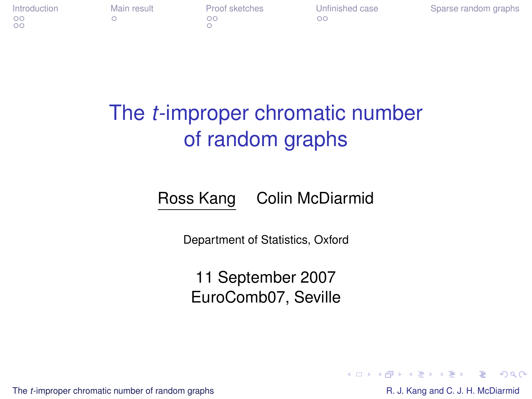$\overline{O}O$ 

 $\cap$ 

[Introduction](#page-1-0) [Main result](#page-13-0) [Proof sketches](#page-19-0) [Unfinished case](#page-28-0) [Sparse random graphs](#page-35-0)<br>
oo oo oo

## The *t*-improper chromatic number of random graphs

Ross Kang Colin McDiarmid

Department of Statistics, Oxford

11 September 2007 EuroComb07, Seville

The *t*[-improper chromatic number of random graphs](#page-37-0) **R. J. Kang and C. J. H. McDiarmid** R. J. Kang and C. J. H. McDiarmid

<span id="page-0-0"></span> $E = \Omega Q$ 

**K ロ ▶ K 何 ▶ K ヨ ▶ K ヨ ▶**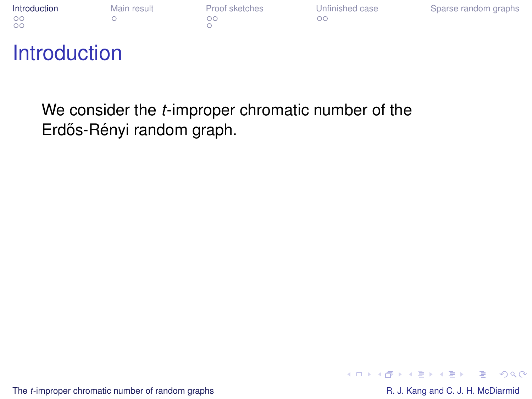| Introduction | Main result | Proof sketches | Unfinished case | Sparse random graphs |
|--------------|-------------|----------------|-----------------|----------------------|
| $\circ$      |             | ിറ             |                 |                      |
| $\circ$      |             |                |                 |                      |

|    | Proof sketches |
|----|----------------|
| ററ |                |
|    |                |

### **Introduction**

We consider the *t*-improper chromatic number of the Erdős-Rényi random graph.

The *t*[-improper chromatic number of random graphs](#page-0-0) R. J. Kang and C. J. H. McDiarmid

<span id="page-1-0"></span> $2990$ ほい

イロト イ押 トイヨ トイヨ トー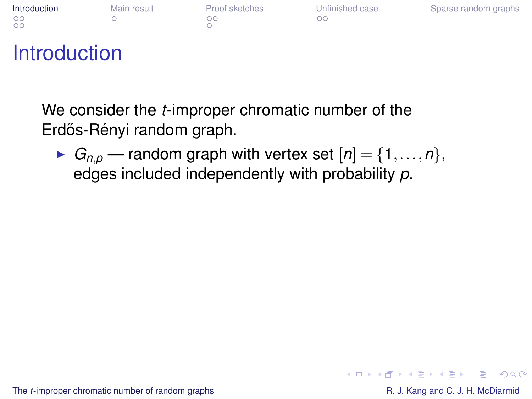| Introduction       | Main result | Proof sketches | Unfinished case | Sparse random graphs |
|--------------------|-------------|----------------|-----------------|----------------------|
| $\circ$<br>$\circ$ |             | חר             |                 |                      |

|    | Proof sketches |
|----|----------------|
| ററ |                |
|    |                |

## **Introduction**

We consider the *t*-improper chromatic number of the Erdős-Rényi random graph.

 $\blacktriangleright$  *G*<sub>n,*p*</sub> — random graph with vertex set  $[n] = \{1, \ldots, n\},\$ edges included independently with probability *p*.

The *t*[-improper chromatic number of random graphs](#page-0-0) R. J. Kang and C. J. H. McDiarmid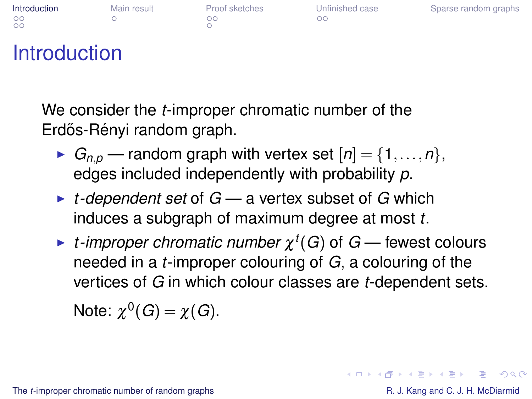| Introduction | Main result | Proof sketches | Unfinished case | Sparse random graphs |
|--------------|-------------|----------------|-----------------|----------------------|
| $\circ$      |             | הר             | ററ              |                      |
| $\circ$      |             |                |                 |                      |

|    | Proof sketches |
|----|----------------|
| ററ |                |
|    |                |

## Introduction

We consider the *t*-improper chromatic number of the Erdős-Rényi random graph.

- $\blacktriangleright$  *G*<sub>n,*p*</sub> random graph with vertex set  $[n] = \{1, \ldots, n\}$ , edges included independently with probability *p*.
- ► *t-dependent set* of *G* a vertex subset of *G* which induces a subgraph of maximum degree at most *t*.
- $\blacktriangleright$  *t*-improper chromatic number  $\chi^t(G)$  of  $G$  fewest colours needed in a *t*-improper colouring of *G*, a colouring of the vertices of *G* in which colour classes are *t*-dependent sets. Note:  $\chi^0(G) = \chi(G)$ .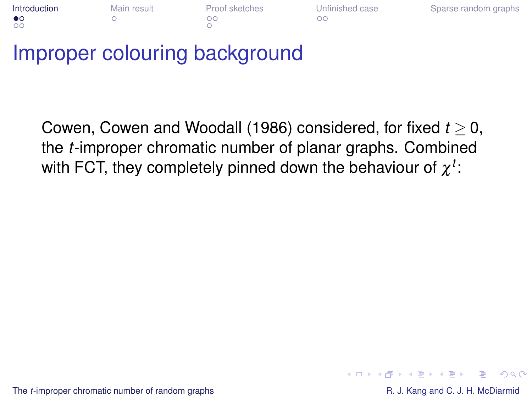| Introduction | Main result | Proof sketches | Unfinished case | Sparse random graphs |
|--------------|-------------|----------------|-----------------|----------------------|
| $\bullet$    |             | nc             | ററ              |                      |
| $\circ$      |             |                |                 |                      |

## Improper colouring background

Cowen, Cowen and Woodall (1986) considered, for fixed *t* ≥ 0, the *t*-improper chromatic number of planar graphs. Combined with FCT, they completely pinned down the behaviour of  $\chi^t$ :

The *t*[-improper chromatic number of random graphs](#page-0-0) R. J. Kang and C. J. H. McDiarmid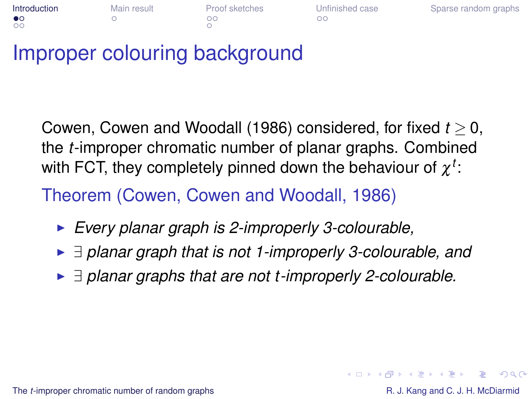| Introduction | Main result | Proof sketches | Unfinished case | Sparse random graphs |
|--------------|-------------|----------------|-----------------|----------------------|
| $\bullet$    |             | חר             | nг              |                      |
| $\circ$      |             |                |                 |                      |

## Improper colouring background

Cowen, Cowen and Woodall (1986) considered, for fixed *t* ≥ 0, the *t*-improper chromatic number of planar graphs. Combined with FCT, they completely pinned down the behaviour of  $\chi^t$ :

Theorem (Cowen, Cowen and Woodall, 1986)

- **Every planar graph is 2-improperly 3-colourable,**
- <sup>I</sup> ∃ *planar graph that is not 1-improperly 3-colourable, and*
- <sup>I</sup> ∃ *planar graphs that are not t -improperly 2-colourable.*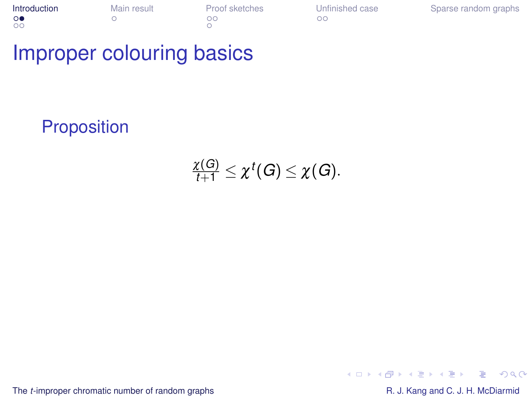**[Introduction](#page-1-0)** [Main result](#page-13-0) [Proof sketches](#page-19-0) [Unfinished case](#page-28-0) [Sparse random graphs](#page-35-0)<br>
o o oo

## Improper colouring basics

**Proposition** 

 $\frac{\chi(G)}{t+1} \leq \chi^t(G) \leq \chi(G).$ 

The *t*[-improper chromatic number of random graphs](#page-0-0) R. J. Kang and C. J. H. McDiarmid

 $\equiv$  990

イロト イ押 トイヨ トイヨ トー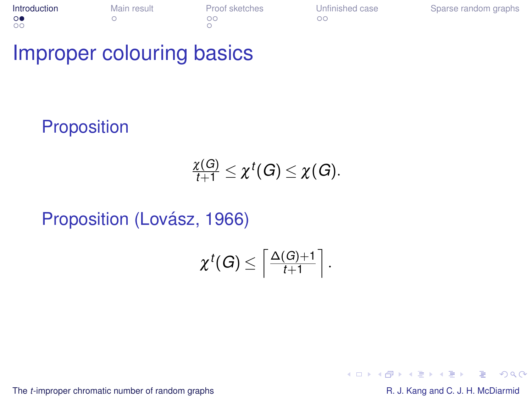**[Introduction](#page-1-0)** [Main result](#page-13-0) [Proof sketches](#page-19-0) [Unfinished case](#page-28-0) [Sparse random graphs](#page-35-0)<br>
o o oo

## Improper colouring basics

**Proposition** 

$$
\frac{\chi(G)}{t+1}\leq \chi^t(G)\leq \chi(G).
$$

Proposition (Lovász, 1966)

$$
\chi^t(G)\leq \left\lceil \tfrac{\Delta(G)+1}{t+1} \right\rceil.
$$

The *t*[-improper chromatic number of random graphs](#page-0-0) R. J. Kang and C. J. H. McDiarmid

 $2990$ 

ă,

4 ロ ) (何 ) (日 ) (日 )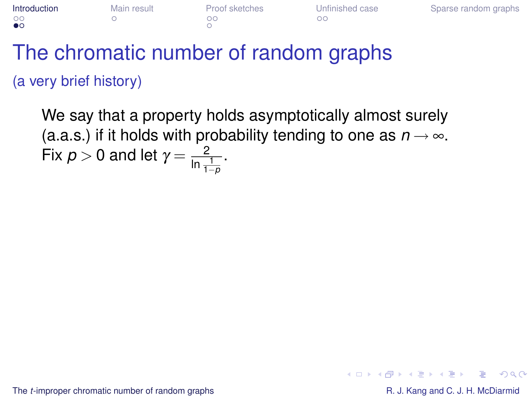| Introduction | Main result | Proof sketches | Unfinished case | Sparse random graphs |
|--------------|-------------|----------------|-----------------|----------------------|
| $\circ$      |             | ገር             | ገር              |                      |

## The chromatic number of random graphs (a very brief history)

We say that a property holds asymptotically almost surely (a.a.s.) if it holds with probability tending to one as  $n \rightarrow \infty$ . Fix  $p > 0$  and let  $\gamma = \frac{2}{\ln \frac{1}{1-p}}$ .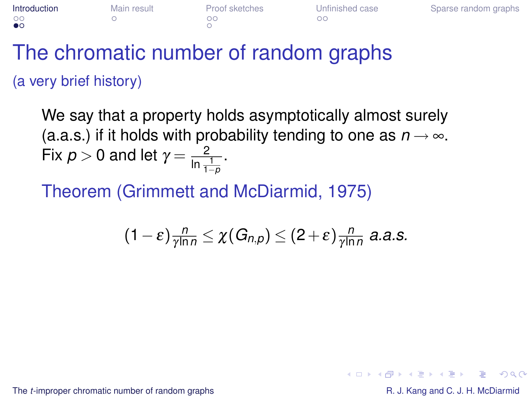| Introduction | Main result | Proof sketches | Unfinished case | Sparse random graphs |
|--------------|-------------|----------------|-----------------|----------------------|
| $\circ$      |             | הר             |                 |                      |

## The chromatic number of random graphs (a very brief history)

We say that a property holds asymptotically almost surely (a.a.s.) if it holds with probability tending to one as  $n \rightarrow \infty$ . Fix  $p > 0$  and let  $\gamma = \frac{2}{\ln \frac{1}{1-p}}$ .

Theorem (Grimmett and McDiarmid, 1975)

$$
(1-\varepsilon)\frac{n}{\gamma\ln n}\leq \chi(G_{n,p})\leq (2+\varepsilon)\frac{n}{\gamma\ln n} \text{ a.a.s.}
$$

The *t*[-improper chromatic number of random graphs](#page-0-0) **R. J. Kang and C. J. H. McDiarmid** R. J. Kang and C. J. H. McDiarmid

KO KARA KE KAEK E YA GA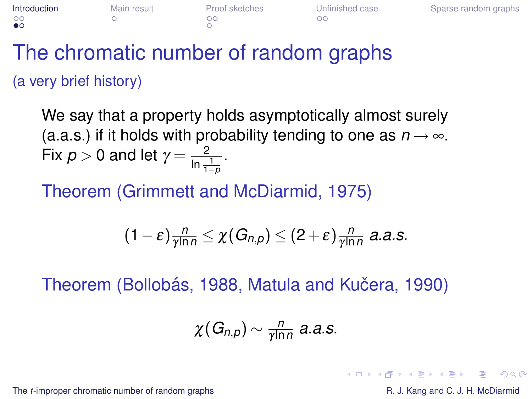| Introduction | Main result | Proof sketches | Unfinished case | Sparse random graphs |
|--------------|-------------|----------------|-----------------|----------------------|
| $\circ$      |             | הר             |                 |                      |

## The chromatic number of random graphs (a very brief history)

We say that a property holds asymptotically almost surely (a.a.s.) if it holds with probability tending to one as  $n \rightarrow \infty$ . Fix  $p > 0$  and let  $\gamma = \frac{2}{\ln \frac{1}{1-p}}$ .

Theorem (Grimmett and McDiarmid, 1975)

$$
(1-\varepsilon)\frac{n}{\gamma\ln n}\leq \chi(G_{n,p})\leq (2+\varepsilon)\frac{n}{\gamma\ln n} \text{ a.a.s.}
$$

Theorem (Bollobás, 1988, Matula and Kučera, 1990)

$$
\chi(G_{n,p})\sim \frac{n}{\gamma\ln n} \text{ a.a.s.}
$$

The *t*[-improper chromatic number of random graphs](#page-0-0) **R. J. Kang and C. J. H. McDiarmid** R. J. Kang and C. J. H. McDiarmid

KO KARA KE KAEK E YA GA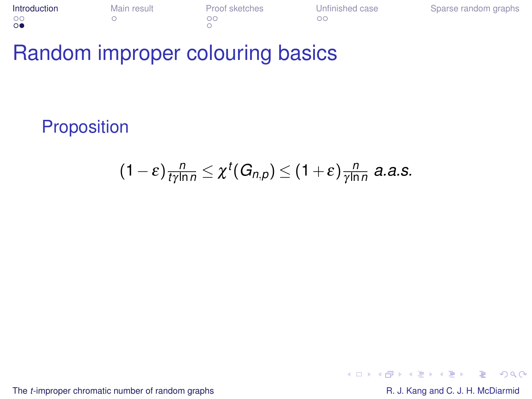| Introduction   | Main result | Proof sketches | Unfinished case | Sparse random graphs |
|----------------|-------------|----------------|-----------------|----------------------|
| $\circ$        |             | ററ             |                 |                      |
| $\circ\bullet$ |             |                |                 |                      |

## Random improper colouring basics

**Proposition** 

$$
(1-\varepsilon)\frac{n}{t\gamma\ln n}\leq \chi^t(G_{n,p})\leq (1+\varepsilon)\frac{n}{\gamma\ln n} \text{ a.a.s.}
$$

The *t*[-improper chromatic number of random graphs](#page-0-0) R. J. Kang and C. J. H. McDiarmid

 $2990$ 

÷.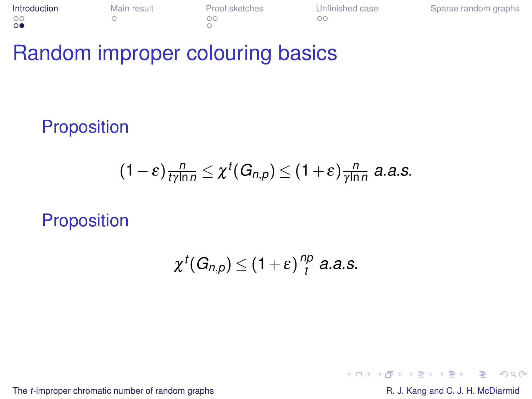| Introduction   | Main result | Proof sketches | Unfinished case | Sparse random graphs |
|----------------|-------------|----------------|-----------------|----------------------|
| $\circ$        |             | ററ             |                 |                      |
| $\circ\bullet$ |             |                |                 |                      |

## Random improper colouring basics

**Proposition** 

$$
(1-\varepsilon)\frac{n}{t\gamma\ln n}\leq \chi^t(G_{n,p})\leq (1+\varepsilon)\frac{n}{\gamma\ln n} \text{ a.a.s.}
$$

**Proposition** 

$$
\chi^t(G_{n,p})\leq (1+\varepsilon)\frac{np}{t} \text{ a.a.s.}
$$

The *t*[-improper chromatic number of random graphs](#page-0-0) R. J. Kang and C. J. H. McDiarmid

 $2990$ 

ă,

4 ロ ) (何 ) (日 ) (日 )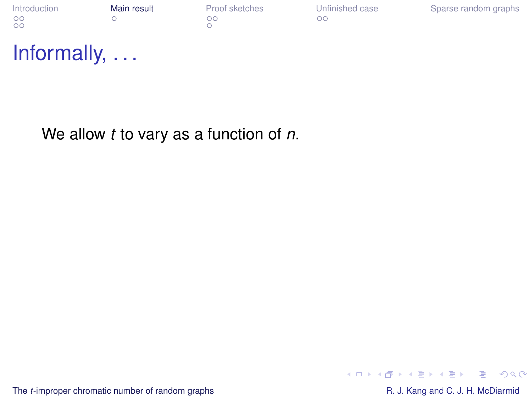|    | Introduction |  |  |
|----|--------------|--|--|
| ററ |              |  |  |
| OΟ |              |  |  |

[Introduction](#page-1-0) [Main result](#page-13-0) [Proof sketches](#page-19-0) [Unfinished case](#page-28-0) [Sparse random graphs](#page-35-0)

### Informally, . . .

We allow *t* to vary as a function of *n*.

The *t*[-improper chromatic number of random graphs](#page-0-0) R. J. Kang and C. J. H. McDiarmid

<span id="page-13-0"></span>

K ロ ▶ K @ ▶ K 할 ▶ K 할 ▶ ① 할 → ⊙ Q @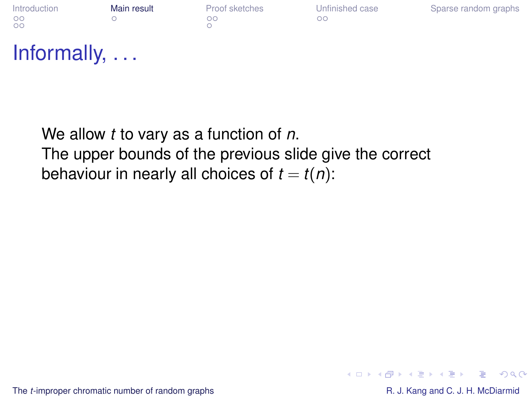[Introduction](#page-1-0) **[Main result](#page-13-0)** [Proof sketches](#page-19-0) [Unfinished case](#page-28-0) [Sparse random graphs](#page-35-0)<br>
oo oo oo  $\overline{O}O$ 

 $\cap$ 

## Informally, . . .

We allow *t* to vary as a function of *n*. The upper bounds of the previous slide give the correct behaviour in nearly all choices of  $t = t(n)$ :

The *t*[-improper chromatic number of random graphs](#page-0-0) **R. J. Kang and C. J. H. McDiarmid** R. J. Kang and C. J. H. McDiarmid

ミー  $2Q$ 

イロト イ押 トイヨ トイヨ トー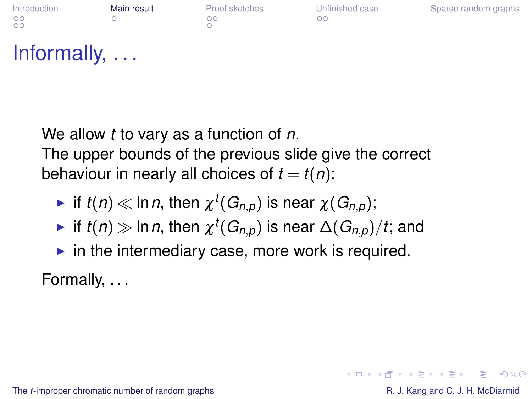| <b>Introduction</b> | Main result | Proof sketches | Unfinished case | Sparse random graphs |
|---------------------|-------------|----------------|-----------------|----------------------|
| $\circ$<br>$\circ$  |             | ററ             | nг              |                      |

## Informally, . . .

We allow *t* to vary as a function of *n*. The upper bounds of the previous slide give the correct behaviour in nearly all choices of  $t = t(n)$ :

- $\blacktriangleright$  if  $t(n) \ll \ln n$ , then  $\chi^t(G_{n,p})$  is near  $\chi(G_{n,p});$
- $\blacktriangleright$  if  $t(n) \gg$  In  $n$ , then  $\chi^t(G_{n,\rho})$  is near  $\Delta(G_{n,\rho})/t;$  and
- $\blacktriangleright$  in the intermediary case, more work is required.

Formally, . . .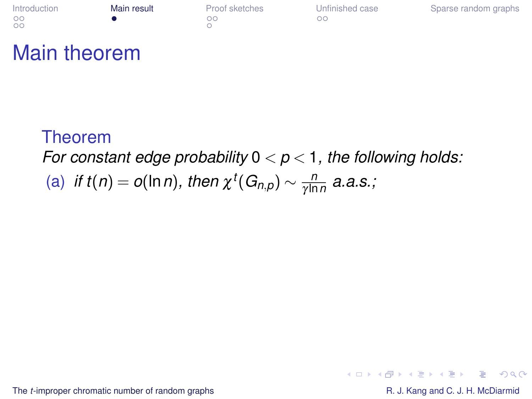| ntroduction | Main re |
|-------------|---------|
| DС          | ٠       |
| DО          |         |

|    | Proof sketch |
|----|--------------|
| ററ |              |
|    |              |

**[Introduction](#page-1-0) Manuform Manuform Marin Result** [Proof sketches](#page-19-0) [Unfinished case](#page-28-0) [Sparse random graphs](#page-35-0)<br>  $\frac{1}{2}$ 

## Main theorem

#### Theorem *For constant edge probability* 0 < *p* < 1*, the following holds:* (a) *if*  $t(n) = o(\ln n)$ *, then*  $\chi^t(G_{n,p}) \sim \frac{n}{\gamma \ln n}$ γ ln*n a.a.s.;*

The *t*[-improper chromatic number of random graphs](#page-0-0) R. J. Kang and C. J. H. McDiarmid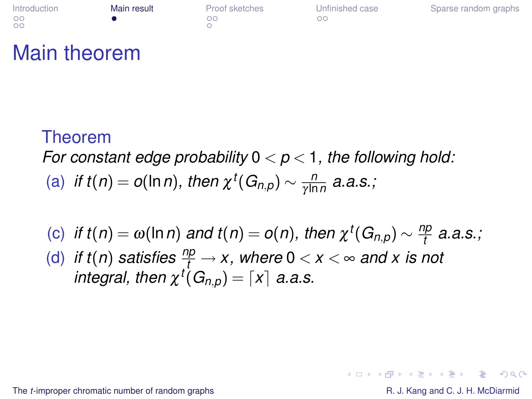| ntroduction | Main res |
|-------------|----------|
| DС          | ۰        |
| DО          |          |

|    | Proof sketches |
|----|----------------|
| ററ |                |
| ∩  |                |

**ult** [Proof sketches](#page-19-0) [Unfinished case](#page-28-0) [Sparse random graphs](#page-35-0)<br>
oo

## Main theorem

#### Theorem *For constant edge probability* 0 < *p* < 1*, the following hold:* (a) *if*  $t(n) = o(\ln n)$ *, then*  $\chi^t(G_{n,p}) \sim \frac{n}{\gamma \ln n}$ γ ln*n a.a.s.;*

(c) *if*  $t(n) = \omega(\ln n)$  and  $t(n) = o(n)$ , then  $\chi^t(G_{n,p}) \sim \frac{np}{t}$ *t a.a.s.;* (d) *if t*(*n*) *satisfies*  $\frac{np}{t} \to x$ , where  $0 < x < \infty$  and x is not *integral, then*  $\chi^t(G_{n,p}) = \lceil x \rceil$  *a.a.s.* 

The *t*[-improper chromatic number of random graphs](#page-0-0) **R. J. Kang and C. J. H. McDiarmid** R. J. Kang and C. J. H. McDiarmid

KO KARA KE KAEK E YA GA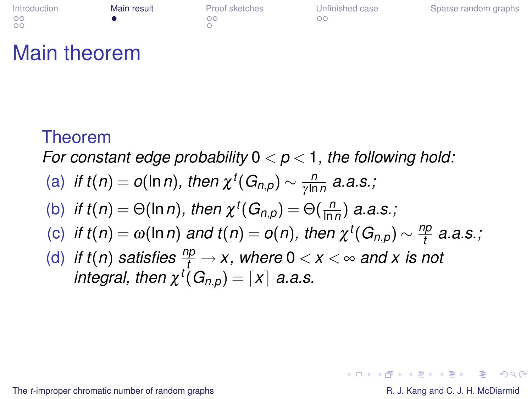| ntroduction | Main |
|-------------|------|
| DС          | ٠    |
| DО          |      |

| Proof sketc |  |
|-------------|--|
| OO          |  |
|             |  |

**Internal From Manufold Marin Result** [Proof sketches](#page-19-0) [Unfinished case](#page-28-0) [Sparse random graphs](#page-35-0)

### Main theorem

#### Theorem

*For constant edge probability* 0 < *p* < 1*, the following hold:*

(a) if 
$$
t(n) = o(\ln n)
$$
, then  $\chi^t(G_{n,p}) \sim \frac{n}{\gamma \ln n}$  a.a.s.;

(b) if 
$$
t(n) = \Theta(\ln n)
$$
, then  $\chi^t(G_{n,p}) = \Theta(\frac{n}{\ln n})$  a.a.s.;

(c) if 
$$
t(n) = \omega(\ln n)
$$
 and  $t(n) = o(n)$ , then  $\chi^t(G_{n,p}) \sim \frac{np}{t}$  a.a.s.;

(d) *if t*(*n*) *satisfies*  $\frac{np}{t} \to x$ , where  $0 < x < \infty$  and x is not *integral, then*  $\chi^t(G_{n,p}) = \lceil x \rceil$  *a.a.s.* 

The *t*[-improper chromatic number of random graphs](#page-0-0) **R. J. Kang and C. J. H. McDiarmid** R. J. Kang and C. J. H. McDiarmid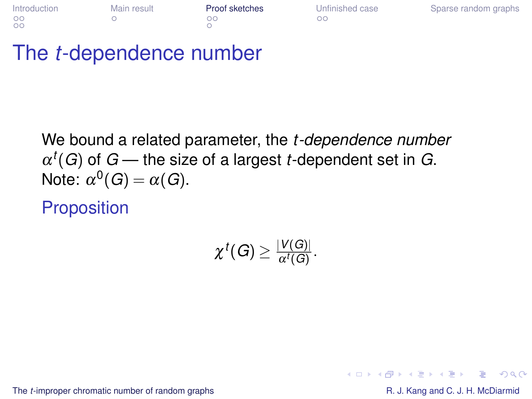| <b>Introduction</b> | Main result | <b>Proof sketches</b> | Unfinished case | Sparse random graphs |
|---------------------|-------------|-----------------------|-----------------|----------------------|
| $\circ$             |             | na                    | ററ              |                      |
| $\circ$             |             |                       |                 |                      |

## The *t*-dependence number

We bound a related parameter, the *t -dependence number*  $\alpha^t(G)$  of  $G$  — the size of a largest *t*-dependent set in  $G$ . Note:  $\alpha^0(G) = \alpha(G)$ .

**Proposition** 

$$
\chi^t(G)\geq \tfrac{|V(G)|}{\alpha^t(G)}.
$$

The *t*[-improper chromatic number of random graphs](#page-0-0) **R. J. Kang and C. J. H. McDiarmid** R. J. Kang and C. J. H. McDiarmid

÷.

<span id="page-19-0"></span> $2Q$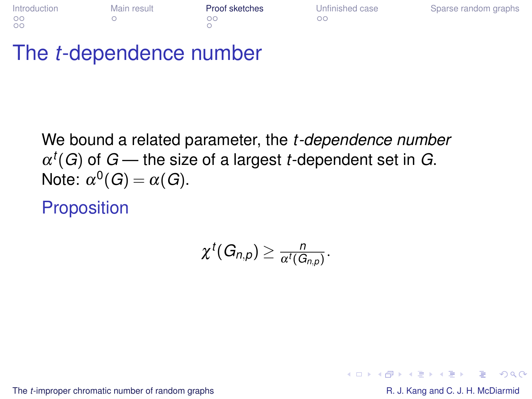| Introduction | Main result | <b>Proof sketches</b> | Unfinished case | Sparse random graphs |
|--------------|-------------|-----------------------|-----------------|----------------------|
| $\circ$      |             | na                    | ററ              |                      |
| $\circ$      |             |                       |                 |                      |

## The *t*-dependence number

We bound a related parameter, the *t -dependence number*  $\alpha^t(G)$  of  $G$  — the size of a largest *t*-dependent set in  $G$ . Note:  $\alpha^0(G) = \alpha(G)$ .

**Proposition** 

$$
\chi^t(G_{n,p})\geq \tfrac{n}{\alpha^t(G_{n,p})}.
$$

The *t*[-improper chromatic number of random graphs](#page-0-0) **R. J. Kang and C. J. H. McDiarmid** R. J. Kang and C. J. H. McDiarmid

÷.

 $2Q$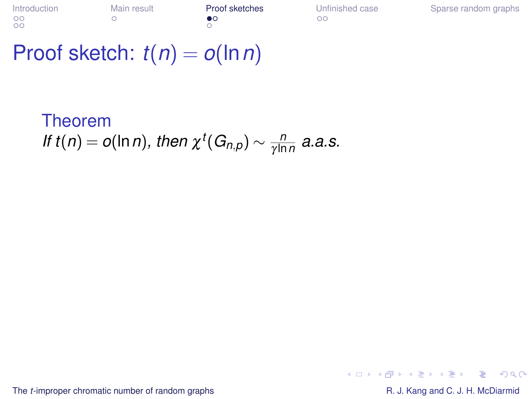| ntroduction |  |
|-------------|--|
| DΩ          |  |
| DΩ          |  |

 $\cap$ 

**Interface [Main result](#page-13-0) [Proof sketches](#page-19-0)** [Unfinished case](#page-28-0) [Sparse random graphs](#page-35-0)<br>
→ O O

## Proof sketch:  $t(n) = o(\ln n)$

Theorem *If*  $t(n) = o(\ln n)$ *, then*  $\chi^t(G_{n,p}) \sim \frac{n}{\gamma \ln n}$  $\frac{n}{\gamma \ln n}$  *a.a.s.* 

The *t*[-improper chromatic number of random graphs](#page-0-0) R. J. Kang and C. J. H. McDiarmid

 $2990$ 

÷.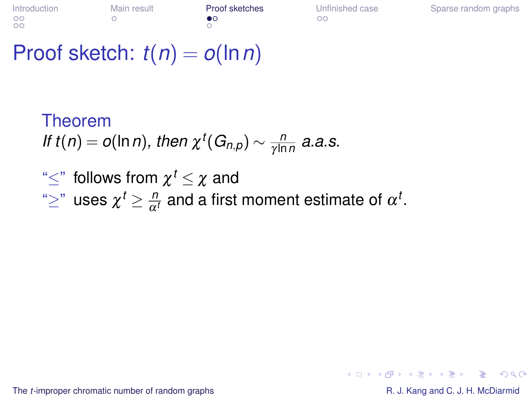## Proof sketch: *t*(*n*) = *o*(ln*n*)

Theorem *If*  $t(n) = o(\ln n)$ *, then*  $\chi^t(G_{n,p}) \sim \frac{n}{\gamma \ln n}$  $\frac{n}{\gamma \ln n}$  *a.a.s.* " $\leq$ " follows from  $\chi^t \leq \chi$  and  $\text{``}\geq\text{''}$  uses  $\chi^t\geq\frac{n}{\alpha^t}$  and a first moment estimate of  $\alpha^t.$ 

The *t*[-improper chromatic number of random graphs](#page-0-0) **R. J. Kang and C. J. H. McDiarmid** R. J. Kang and C. J. H. McDiarmid

KO KARA KE KAEK E YA GA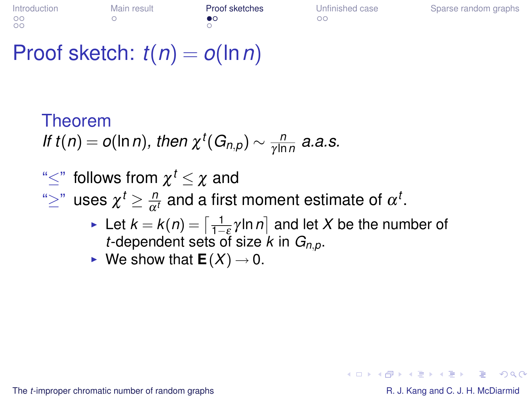## Proof sketch: *t*(*n*) = *o*(ln*n*)

#### Theorem *If*  $t(n) = o(\ln n)$ *, then*  $\chi^t(G_{n,p}) \sim \frac{n}{\gamma \ln n}$  $\frac{n}{\gamma \ln n}$  *a.a.s.*

### " $\leq$ " follows from  $\chi^t \leq \chi$  and

 $\text{``}\geq\text{''}$  uses  $\chi^t\geq\frac{n}{\alpha^t}$  and a first moment estimate of  $\alpha^t.$ 

- ► Let  $k = k(n) = \left[\frac{1}{1-\epsilon} \gamma \ln n\right]$  and let *X* be the number of *t*-dependent sets of size  $k$  in  $G_{n,p}$ .
- $\blacktriangleright$  We show that  $E(X) \rightarrow 0$ .

The *t*[-improper chromatic number of random graphs](#page-0-0) **R. J. Kang and C. J. H. McDiarmid** R. J. Kang and C. J. H. McDiarmid

KO KARA KE KAEK E YA GA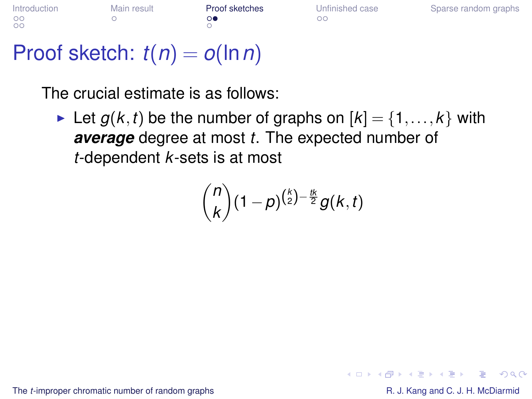| Introduction | Main result | Proof sketches | Unfinished case | Sparse random graphs |
|--------------|-------------|----------------|-----------------|----------------------|
| $\circ$      |             |                | nг              |                      |
| $\circ$      |             |                |                 |                      |

## Proof sketch: *t*(*n*) = *o*(ln*n*)

The crucial estimate is as follows:

In Let  $g(k, t)$  be the number of graphs on  $[k] = \{1, \ldots, k\}$  with *average* degree at most *t*. The expected number of *t*-dependent *k*-sets is at most

$$
\binom{n}{k}(1-p)^{\binom{k}{2}-\frac{tk}{2}}g(k,t)
$$

The *t*[-improper chromatic number of random graphs](#page-0-0) **R. J. Kang and C. J. H. McDiarmid** R. J. Kang and C. J. H. McDiarmid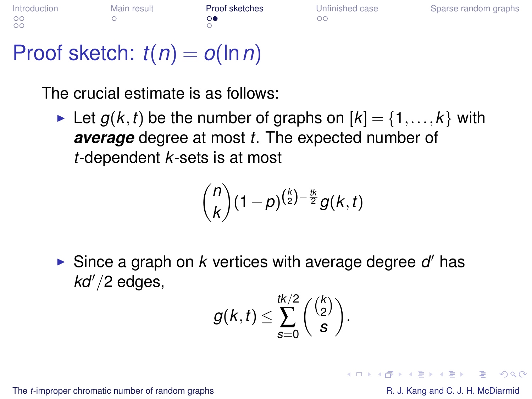| Introduction | Main result | Proof sketches | Unfinished case | Sparse random graphs |
|--------------|-------------|----------------|-----------------|----------------------|
| $\circ$      |             |                |                 |                      |
| $\circ$      |             |                |                 |                      |

## Proof sketch: *t*(*n*) = *o*(ln*n*)

The crucial estimate is as follows:

In Let  $g(k, t)$  be the number of graphs on  $[k] = \{1, \ldots, k\}$  with *average* degree at most *t*. The expected number of *t*-dependent *k*-sets is at most

$$
\binom{n}{k}(1-p)^{\binom{k}{2}-\frac{tk}{2}}g(k,t)
$$

Since a graph on  $k$  vertices with average degree  $d'$  has kd'/2 edges,

$$
g(k,t) \leq \sum_{s=0}^{tk/2} \binom{\binom{k}{2}}{s}.
$$

The *t*[-improper chromatic number of random graphs](#page-0-0) **R. J. Kang and C. J. H. McDiarmid** R. J. Kang and C. J. H. McDiarmid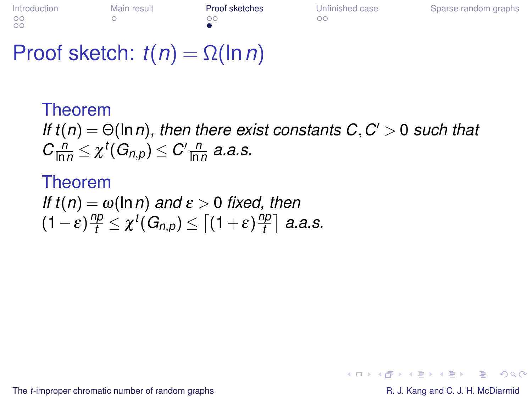## Proof sketch:  $t(n) = \Omega(\ln n)$

#### Theorem *If*  $t(n) = \Theta(\ln n)$ , then there exist constants  $C, C' > 0$  such that  $C \frac{n}{\ln n} \leq \chi^t(G_{n,p}) \leq C' \frac{n}{\ln n}$  a.a.s.

#### Theorem *If t*(*n*) =  $\omega$ (ln*n*) *and*  $\varepsilon$  > 0 *fixed, then*  $(1-\varepsilon)\frac{np}{t} \leq \chi^t(G_{n,\rho}) \leq \bigl\lceil (1+\varepsilon)\frac{np}{t} \bigr\rceil$ *t a.a.s.*

The *t*[-improper chromatic number of random graphs](#page-0-0) **R. J. Kang and C. J. H. McDiarmid** R. J. Kang and C. J. H. McDiarmid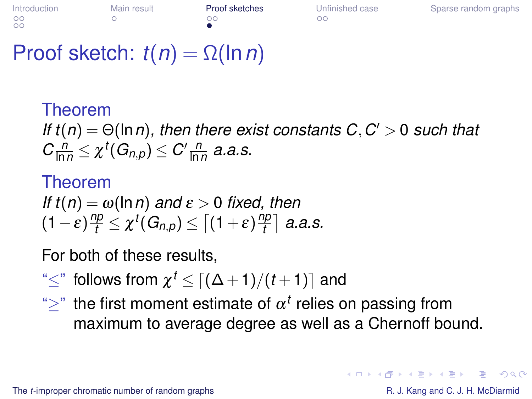## Proof sketch:  $t(n) = \Omega(\ln n)$

Theorem *If*  $t(n) = \Theta(\ln n)$ , then there exist constants  $C, C' > 0$  such that  $C \frac{n}{\ln n} \leq \chi^t(G_{n,p}) \leq C' \frac{n}{\ln n}$  a.a.s.

#### Theorem *If t*(*n*) =  $\omega$ (ln*n*) *and*  $\varepsilon$  > 0 *fixed, then*  $(1-\varepsilon)\frac{np}{t} \leq \chi^t(G_{n,\rho}) \leq \bigl\lceil (1+\varepsilon)\frac{np}{t} \bigr\rceil$ *t a.a.s.*

For both of these results,

"≤" follows from  $\chi^t$  ≤  $\lceil (\Delta \! + \!1)/(t \! + \!1) \rceil$  and

 $\hat{r}$  the first moment estimate of  $\alpha^t$  relies on passing from maximum to average degree as well as a Chernoff bound.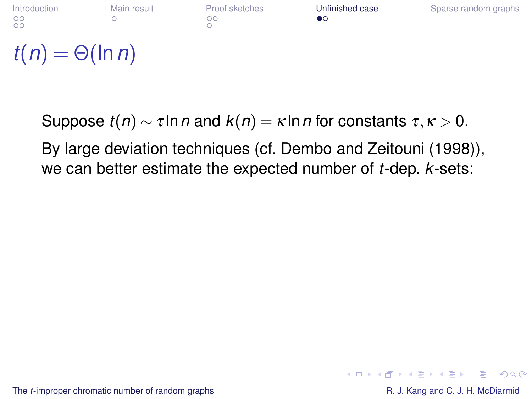

<span id="page-28-0"></span>By large deviation techniques (cf. Dembo and Zeitouni (1998)), we can better estimate the expected number of *t*-dep. *k*-sets: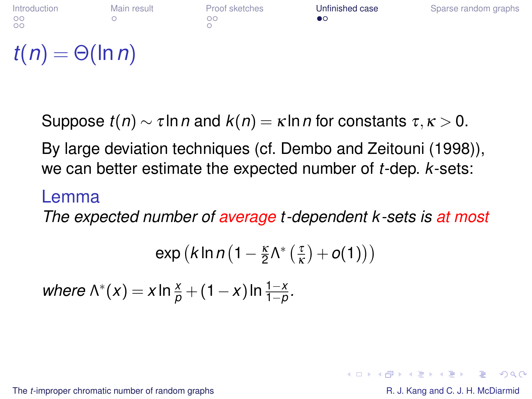

By large deviation techniques (cf. Dembo and Zeitouni (1998)), we can better estimate the expected number of *t*-dep. *k*-sets:

#### Lemma

*The expected number of average t -dependent k -sets is at most*

$$
\text{exp}\left(k\ln n\left(1-\frac{\kappa}{2}\Lambda^*\left(\frac{\tau}{\kappa}\right)+o(1)\right)\right)
$$

*where*  $\Lambda^*(x) = x \ln \frac{x}{p} + (1-x) \ln \frac{1-x}{1-p}$ .

The *t*[-improper chromatic number of random graphs](#page-0-0) **R. J. Kang and C. J. H. McDiarmid** R. J. Kang and C. J. H. McDiarmid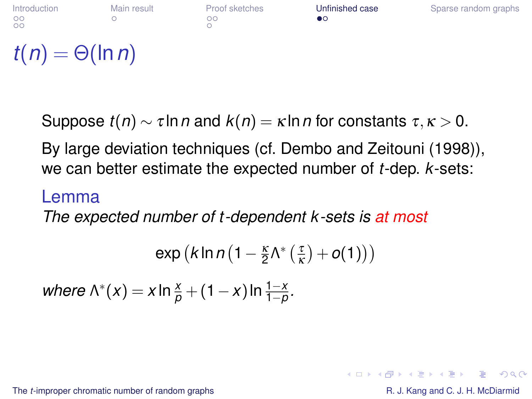

By large deviation techniques (cf. Dembo and Zeitouni (1998)), we can better estimate the expected number of *t*-dep. *k*-sets:

#### Lemma

*The expected number of t -dependent k -sets is at most*

$$
\text{exp}\left(k\ln n\left(1-\frac{\kappa}{2}\Lambda^*\left(\frac{\tau}{\kappa}\right)+o(1)\right)\right)
$$

*where*  $\Lambda^*(x) = x \ln \frac{x}{p} + (1-x) \ln \frac{1-x}{1-p}$ .

The *t*[-improper chromatic number of random graphs](#page-0-0) **R. J. Kang and C. J. H. McDiarmid** R. J. Kang and C. J. H. McDiarmid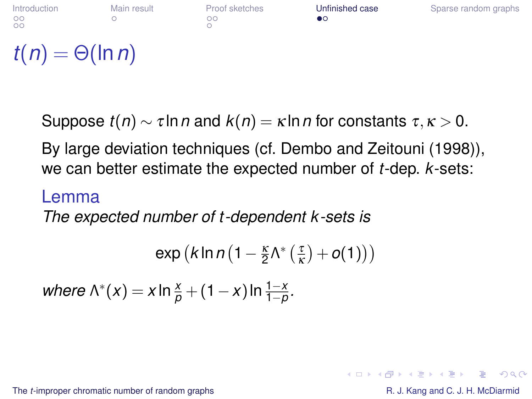

By large deviation techniques (cf. Dembo and Zeitouni (1998)), we can better estimate the expected number of *t*-dep. *k*-sets:

#### Lemma

*The expected number of t -dependent k -sets is*

$$
\exp\big(k\ln n\big(1-\tfrac{\kappa}{2}\Lambda^*\big(\tfrac{\tau}{\kappa}\big)+o(1)\big)\big)
$$

*where*  $\Lambda^*(x) = x \ln \frac{x}{p} + (1-x) \ln \frac{1-x}{1-p}$ .

The *t*[-improper chromatic number of random graphs](#page-0-0) **R. J. Kang and C. J. H. McDiarmid** R. J. Kang and C. J. H. McDiarmid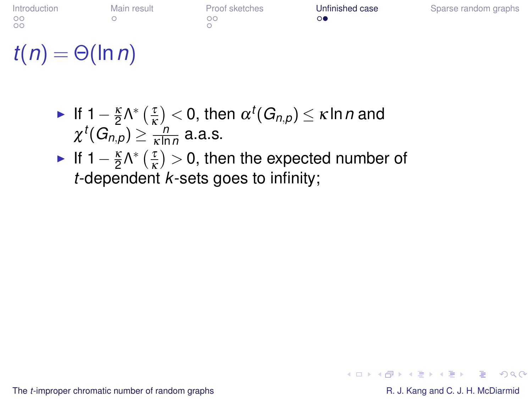[Introduction](#page-1-0) [Main result](#page-13-0) [Proof sketches](#page-19-0) [Unfinished case](#page-28-0) [Sparse random graphs](#page-35-0)  $\overline{O}O$ 

# $t(n) = \Theta(\ln n)$

- ► If 1  $\frac{\kappa}{2} \Lambda^* \left( \frac{\tau}{\kappa} \right) < 0$ , then  $\alpha^t(G_{n,p}) \leq \kappa \ln n$  and  $\chi^t(G_{n,p}) \geq \frac{n}{\kappa!r}$  $\frac{n}{\kappa \ln n}$  a.a.s.
- ► If  $1-\frac{\kappa}{2}\Lambda^*$   $\left(\frac{\tau}{\kappa}\right)$  $(\frac{\tau}{\kappa}) > 0$ , then the expected number of *t*-dependent *k*-sets goes to infinity;

The *t*[-improper chromatic number of random graphs](#page-0-0) **R. J. Kang and C. J. H. McDiarmid** R. J. Kang and C. J. H. McDiarmid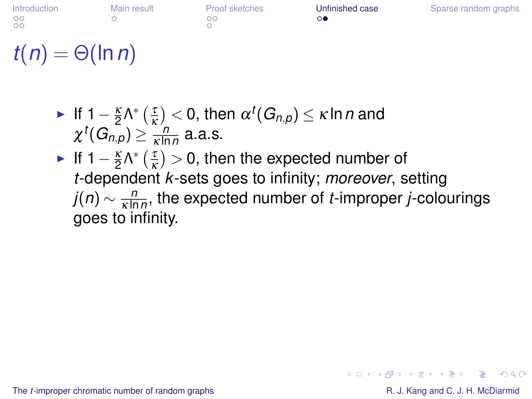| ntroduction | Main resu |
|-------------|-----------|
| DС          | ◠         |
| DС          |           |
|             |           |

 $\cap$ 

It [Proof sketches](#page-19-0) **[Unfinished case](#page-28-0)** [Sparse random graphs](#page-35-0)<br>
oo ∩●

# $t(n) = \Theta(\ln n)$

► If 
$$
1 - \frac{\kappa}{2} \Lambda^* \left( \frac{\tau}{\kappa} \right) < 0
$$
, then  $\alpha^t(G_{n,p}) \leq \kappa \ln n$  and  
 $\chi^t(G_{n,p}) \geq \frac{n}{\kappa \ln n}$  a.a.s.

► If  $1-\frac{\kappa}{2}\Lambda^*$   $\left(\frac{\tau}{\kappa}\right)$  $(\frac{\tau}{\kappa}) > 0$ , then the expected number of *t*-dependent *k*-sets goes to infinity; *moreover*, setting *j*(*n*)  $\sim \frac{n}{\kappa \ln n}$ κ ln*n* , the expected number of *t*-improper *j*-colourings goes to infinity.

The *t*[-improper chromatic number of random graphs](#page-0-0) **R. J. Kang and C. J. H. McDiarmid** R. J. Kang and C. J. H. McDiarmid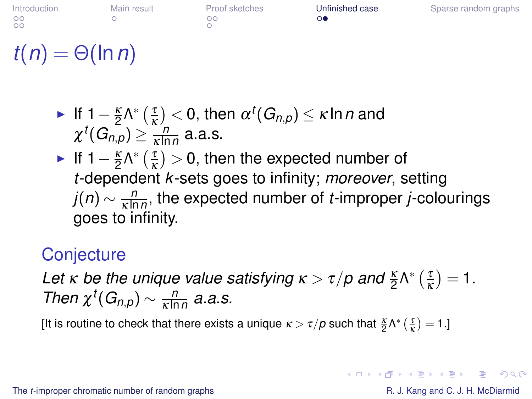$\Omega$ 

# $t(n) = \Theta(\ln n)$

► If 
$$
1 - \frac{\kappa}{2} \Lambda^* \left( \frac{\tau}{\kappa} \right) < 0
$$
, then  $\alpha^t(G_{n,p}) \leq \kappa \ln n$  and  
 $\chi^t(G_{n,p}) \geq \frac{n}{\kappa \ln n}$  a.a.s.

► If  $1-\frac{\kappa}{2}\Lambda^*$   $\left(\frac{\tau}{\kappa}\right)$  $(\frac{\tau}{\kappa}) > 0$ , then the expected number of *t*-dependent *k*-sets goes to infinity; *moreover*, setting *j*(*n*)  $\sim \frac{n}{\kappa \ln n}$ κ ln*n* , the expected number of *t*-improper *j*-colourings goes to infinity.

### **Conjecture**

Let *κ* be the unique value satisfying  $\kappa > \tau/p$  and  $\frac{\kappa}{2} \Lambda^*$  ( $\frac{\tau}{\kappa}$  $(\frac{\tau}{\kappa})=1.$ *Then*  $\chi^t(G_{n,p}) \sim \frac{n}{\kappa \ln n}$  $\frac{n}{\kappa \ln n}$  a.a.s.

[It is routine to check that there exists a unique  $\kappa > \tau/p$  such that  $\frac{\kappa}{2} \Lambda^* \left( \frac{\tau}{\kappa} \right) = 1$ .]

The *t*[-improper chromatic number of random graphs](#page-0-0) **R. J. Kang and C. J. H. McDiarmid** R. J. Kang and C. J. H. McDiarmid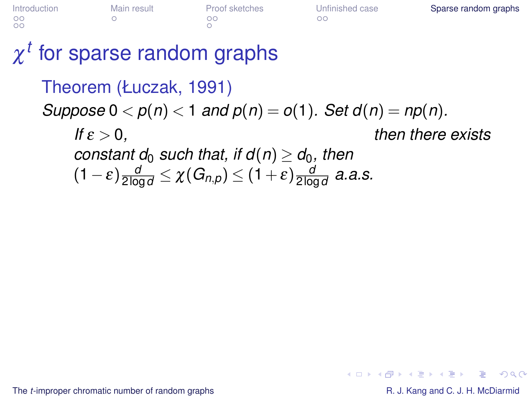| ntroduction | Mai |
|-------------|-----|
| OC          | Ω   |
| DС          |     |

Internalished Case [Sparse random graphs](#page-35-0)<br>  $\begin{array}{ccc}\n\text{or} & \text{I} & \text{I} \\
\text{I} & \text{I} & \text{I} \\
\text{I} & \text{I} & \text{I}\n\end{array}$ 

# $\chi^t$  for sparse random graphs

Theorem (Łuczak, 1991) *Suppose*  $0 < p(n) < 1$  *and*  $p(n) = o(1)$ *. Set*  $d(n) = np(n)$ *. If*  $\varepsilon > 0$ . *then there exists constant d*<sup>0</sup> *such that, if d*(*n*)  $\ge$  *d*<sub>0</sub>*, then*  $\frac{d}{2\log d} \leq \chi(G_{n,\rho}) \leq (1+\varepsilon)\frac{d}{2\log d}$ 2 log*d a.a.s.*

The *t*[-improper chromatic number of random graphs](#page-0-0) **R. J. Kang and C. J. H. McDiarmid** R. J. Kang and C. J. H. McDiarmid

<span id="page-35-0"></span> $\Omega$ 

イロン イ押ン イヨン イヨン 一重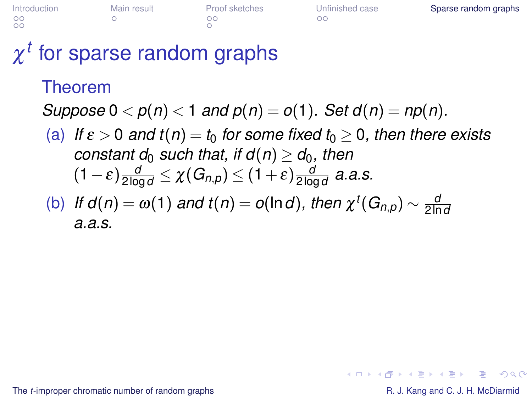| <b>ntroduction</b> | Main result |  |
|--------------------|-------------|--|
| OΟ<br>OΟ           | ◠           |  |

 $\cap$ 

[Proof sketches](#page-19-0) [Unfinished case](#page-28-0) [Sparse random graphs](#page-35-0)<br>
oo

# $\chi^t$  for sparse random graphs

#### Theorem

*Suppose*  $0 < p(n) < 1$  *and*  $p(n) = o(1)$ *. Set*  $d(n) = np(n)$ *.* 

(a) If  $\varepsilon > 0$  and  $t(n) = t_0$  for some fixed  $t_0 \geq 0$ , then there exists *constant d*<sup>0</sup> *such that, if d*(*n*)  $\ge$  *d*<sup>0</sup>*, then*  $\frac{d}{2\log d} \leq \chi(G_{n,\rho}) \leq (1+\varepsilon)\frac{d}{2\log d}$ 2 log*d a.a.s.*

(b) If 
$$
d(n) = \omega(1)
$$
 and  $t(n) = o(\ln d)$ , then  $\chi^t(G_{n,p}) \sim \frac{d}{2 \ln d}$   
a.a.s.